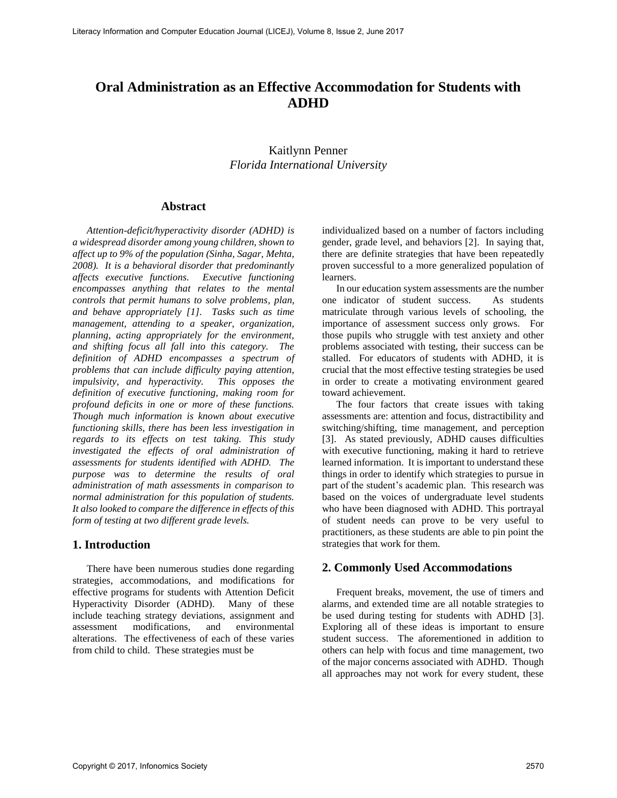# **Oral Administration as an Effective Accommodation for Students with ADHD**

# Kaitlynn Penner *Florida International University*

#### **Abstract**

*Attention-deficit/hyperactivity disorder (ADHD) is a widespread disorder among young children, shown to affect up to 9% of the population (Sinha, Sagar, Mehta, 2008). It is a behavioral disorder that predominantly affects executive functions. Executive functioning encompasses anything that relates to the mental controls that permit humans to solve problems, plan, and behave appropriately [1]. Tasks such as time management, attending to a speaker, organization, planning, acting appropriately for the environment, and shifting focus all fall into this category. The definition of ADHD encompasses a spectrum of problems that can include difficulty paying attention, impulsivity, and hyperactivity. This opposes the definition of executive functioning, making room for profound deficits in one or more of these functions. Though much information is known about executive functioning skills, there has been less investigation in regards to its effects on test taking. This study investigated the effects of oral administration of assessments for students identified with ADHD. The purpose was to determine the results of oral administration of math assessments in comparison to normal administration for this population of students. It also looked to compare the difference in effects of this form of testing at two different grade levels.* 

#### **1. Introduction**

There have been numerous studies done regarding strategies, accommodations, and modifications for effective programs for students with Attention Deficit Hyperactivity Disorder (ADHD). Many of these include teaching strategy deviations, assignment and assessment modifications, and environmental alterations. The effectiveness of each of these varies from child to child. These strategies must be

individualized based on a number of factors including gender, grade level, and behaviors [2]. In saying that, there are definite strategies that have been repeatedly proven successful to a more generalized population of learners.

In our education system assessments are the number one indicator of student success. As students matriculate through various levels of schooling, the importance of assessment success only grows. For those pupils who struggle with test anxiety and other problems associated with testing, their success can be stalled. For educators of students with ADHD, it is crucial that the most effective testing strategies be used in order to create a motivating environment geared toward achievement.

The four factors that create issues with taking assessments are: attention and focus, distractibility and switching/shifting, time management, and perception [3]. As stated previously, ADHD causes difficulties with executive functioning, making it hard to retrieve learned information. It is important to understand these things in order to identify which strategies to pursue in part of the student's academic plan. This research was based on the voices of undergraduate level students who have been diagnosed with ADHD. This portrayal of student needs can prove to be very useful to practitioners, as these students are able to pin point the strategies that work for them.

#### **2. Commonly Used Accommodations**

Frequent breaks, movement, the use of timers and alarms, and extended time are all notable strategies to be used during testing for students with ADHD [3]. Exploring all of these ideas is important to ensure student success. The aforementioned in addition to others can help with focus and time management, two of the major concerns associated with ADHD. Though all approaches may not work for every student, these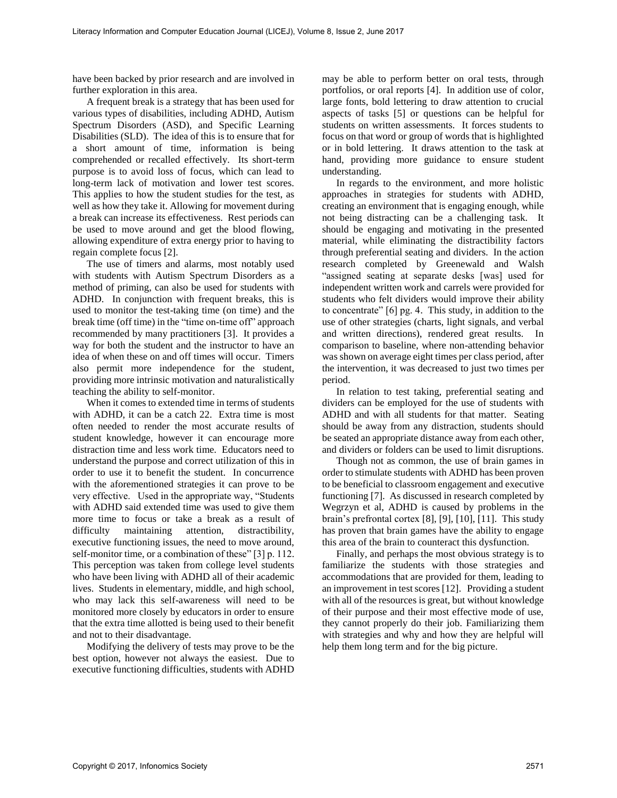have been backed by prior research and are involved in further exploration in this area.

A frequent break is a strategy that has been used for various types of disabilities, including ADHD, Autism Spectrum Disorders (ASD), and Specific Learning Disabilities (SLD). The idea of this is to ensure that for a short amount of time, information is being comprehended or recalled effectively. Its short-term purpose is to avoid loss of focus, which can lead to long-term lack of motivation and lower test scores. This applies to how the student studies for the test, as well as how they take it. Allowing for movement during a break can increase its effectiveness. Rest periods can be used to move around and get the blood flowing, allowing expenditure of extra energy prior to having to regain complete focus [2].

The use of timers and alarms, most notably used with students with Autism Spectrum Disorders as a method of priming, can also be used for students with ADHD. In conjunction with frequent breaks, this is used to monitor the test-taking time (on time) and the break time (off time) in the "time on-time off" approach recommended by many practitioners [3]. It provides a way for both the student and the instructor to have an idea of when these on and off times will occur. Timers also permit more independence for the student, providing more intrinsic motivation and naturalistically teaching the ability to self-monitor.

When it comes to extended time in terms of students with ADHD, it can be a catch 22. Extra time is most often needed to render the most accurate results of student knowledge, however it can encourage more distraction time and less work time. Educators need to understand the purpose and correct utilization of this in order to use it to benefit the student. In concurrence with the aforementioned strategies it can prove to be very effective. Used in the appropriate way, "Students with ADHD said extended time was used to give them more time to focus or take a break as a result of difficulty maintaining attention, distractibility, executive functioning issues, the need to move around, self-monitor time, or a combination of these" [3] p. 112. This perception was taken from college level students who have been living with ADHD all of their academic lives. Students in elementary, middle, and high school, who may lack this self-awareness will need to be monitored more closely by educators in order to ensure that the extra time allotted is being used to their benefit and not to their disadvantage.

Modifying the delivery of tests may prove to be the best option, however not always the easiest. Due to executive functioning difficulties, students with ADHD

may be able to perform better on oral tests, through portfolios, or oral reports [4]. In addition use of color, large fonts, bold lettering to draw attention to crucial aspects of tasks [5] or questions can be helpful for students on written assessments. It forces students to focus on that word or group of words that is highlighted or in bold lettering. It draws attention to the task at hand, providing more guidance to ensure student understanding.

In regards to the environment, and more holistic approaches in strategies for students with ADHD, creating an environment that is engaging enough, while not being distracting can be a challenging task. It should be engaging and motivating in the presented material, while eliminating the distractibility factors through preferential seating and dividers. In the action research completed by Greenewald and Walsh "assigned seating at separate desks [was] used for independent written work and carrels were provided for students who felt dividers would improve their ability to concentrate" [6] pg. 4. This study, in addition to the use of other strategies (charts, light signals, and verbal and written directions), rendered great results. In comparison to baseline, where non-attending behavior was shown on average eight times per class period, after the intervention, it was decreased to just two times per period.

In relation to test taking, preferential seating and dividers can be employed for the use of students with ADHD and with all students for that matter. Seating should be away from any distraction, students should be seated an appropriate distance away from each other, and dividers or folders can be used to limit disruptions.

Though not as common, the use of brain games in order to stimulate students with ADHD has been proven to be beneficial to classroom engagement and executive functioning [7]. As discussed in research completed by Wegrzyn et al, ADHD is caused by problems in the brain's prefrontal cortex [8], [9], [10], [11]. This study has proven that brain games have the ability to engage this area of the brain to counteract this dysfunction.

Finally, and perhaps the most obvious strategy is to familiarize the students with those strategies and accommodations that are provided for them, leading to an improvement in test scores [12]. Providing a student with all of the resources is great, but without knowledge of their purpose and their most effective mode of use, they cannot properly do their job. Familiarizing them with strategies and why and how they are helpful will help them long term and for the big picture.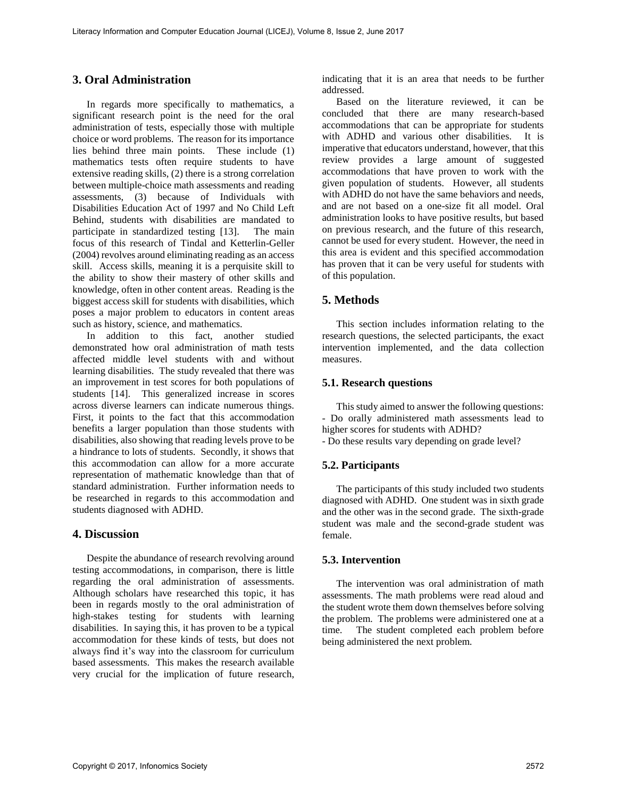# **3. Oral Administration**

In regards more specifically to mathematics, a significant research point is the need for the oral administration of tests, especially those with multiple choice or word problems. The reason for its importance lies behind three main points. These include (1) mathematics tests often require students to have extensive reading skills, (2) there is a strong correlation between multiple-choice math assessments and reading assessments, (3) because of Individuals with Disabilities Education Act of 1997 and No Child Left Behind, students with disabilities are mandated to participate in standardized testing [13]. The main focus of this research of Tindal and Ketterlin-Geller (2004) revolves around eliminating reading as an access skill. Access skills, meaning it is a perquisite skill to the ability to show their mastery of other skills and knowledge, often in other content areas. Reading is the biggest access skill for students with disabilities, which poses a major problem to educators in content areas such as history, science, and mathematics.

In addition to this fact, another studied demonstrated how oral administration of math tests affected middle level students with and without learning disabilities. The study revealed that there was an improvement in test scores for both populations of students [14]. This generalized increase in scores across diverse learners can indicate numerous things. First, it points to the fact that this accommodation benefits a larger population than those students with disabilities, also showing that reading levels prove to be a hindrance to lots of students. Secondly, it shows that this accommodation can allow for a more accurate representation of mathematic knowledge than that of standard administration. Further information needs to be researched in regards to this accommodation and students diagnosed with ADHD.

#### **4. Discussion**

Despite the abundance of research revolving around testing accommodations, in comparison, there is little regarding the oral administration of assessments. Although scholars have researched this topic, it has been in regards mostly to the oral administration of high-stakes testing for students with learning disabilities. In saying this, it has proven to be a typical accommodation for these kinds of tests, but does not always find it's way into the classroom for curriculum based assessments. This makes the research available very crucial for the implication of future research,

indicating that it is an area that needs to be further addressed.

Based on the literature reviewed, it can be concluded that there are many research-based accommodations that can be appropriate for students with ADHD and various other disabilities. It is imperative that educators understand, however, that this review provides a large amount of suggested accommodations that have proven to work with the given population of students. However, all students with ADHD do not have the same behaviors and needs. and are not based on a one-size fit all model. Oral administration looks to have positive results, but based on previous research, and the future of this research, cannot be used for every student. However, the need in this area is evident and this specified accommodation has proven that it can be very useful for students with of this population.

## **5. Methods**

This section includes information relating to the research questions, the selected participants, the exact intervention implemented, and the data collection measures.

#### **5.1. Research questions**

This study aimed to answer the following questions: - Do orally administered math assessments lead to higher scores for students with ADHD?

- Do these results vary depending on grade level?

#### **5.2. Participants**

The participants of this study included two students diagnosed with ADHD. One student was in sixth grade and the other was in the second grade. The sixth-grade student was male and the second-grade student was female.

#### **5.3. Intervention**

The intervention was oral administration of math assessments. The math problems were read aloud and the student wrote them down themselves before solving the problem. The problems were administered one at a time. The student completed each problem before being administered the next problem.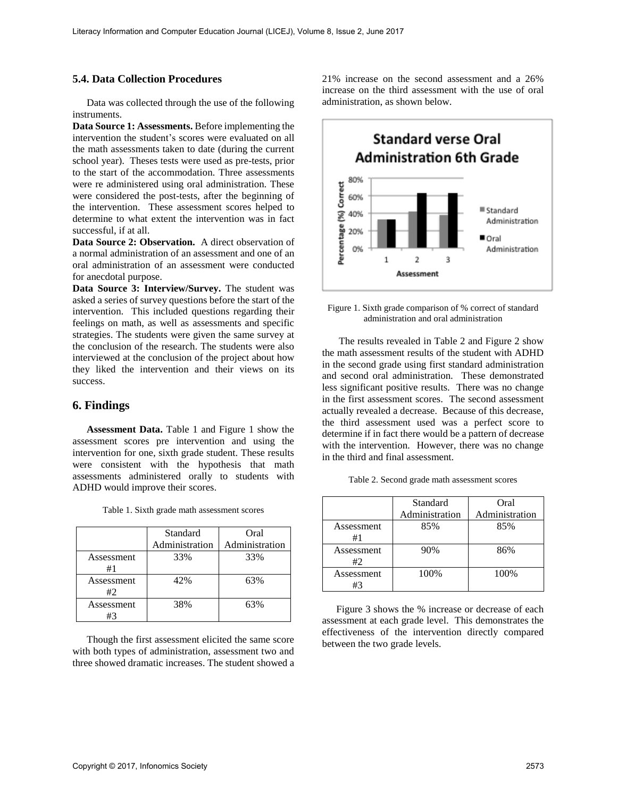#### **5.4. Data Collection Procedures**

Data was collected through the use of the following instruments.

**Data Source 1: Assessments.** Before implementing the intervention the student's scores were evaluated on all the math assessments taken to date (during the current school year). Theses tests were used as pre-tests, prior to the start of the accommodation. Three assessments were re administered using oral administration. These were considered the post-tests, after the beginning of the intervention. These assessment scores helped to determine to what extent the intervention was in fact successful, if at all.

**Data Source 2: Observation.** A direct observation of a normal administration of an assessment and one of an oral administration of an assessment were conducted for anecdotal purpose.

**Data Source 3: Interview/Survey.** The student was asked a series of survey questions before the start of the intervention. This included questions regarding their feelings on math, as well as assessments and specific strategies. The students were given the same survey at the conclusion of the research. The students were also interviewed at the conclusion of the project about how they liked the intervention and their views on its success.

#### **6. Findings**

**Assessment Data.** Table 1 and Figure 1 show the assessment scores pre intervention and using the intervention for one, sixth grade student. These results were consistent with the hypothesis that math assessments administered orally to students with ADHD would improve their scores.

|                  | Standard<br>Administration | Oral<br>Administration |
|------------------|----------------------------|------------------------|
| Assessment<br>#1 | 33%                        | 33%                    |
| Assessment<br>#2 | 42%                        | 63%                    |
| Assessment<br>#3 | 38%                        | 63%                    |

Table 1. Sixth grade math assessment scores

Though the first assessment elicited the same score with both types of administration, assessment two and three showed dramatic increases. The student showed a

21% increase on the second assessment and a 26% increase on the third assessment with the use of oral administration, as shown below.



Figure 1. Sixth grade comparison of % correct of standard administration and oral administration

The results revealed in Table 2 and Figure 2 show the math assessment results of the student with ADHD in the second grade using first standard administration and second oral administration. These demonstrated less significant positive results. There was no change in the first assessment scores. The second assessment actually revealed a decrease. Because of this decrease, the third assessment used was a perfect score to determine if in fact there would be a pattern of decrease with the intervention. However, there was no change in the third and final assessment.

| Table 2. Second grade math assessment scores |  |  |  |  |
|----------------------------------------------|--|--|--|--|
|----------------------------------------------|--|--|--|--|

|                  | Standard<br>Administration | Oral<br>Administration |
|------------------|----------------------------|------------------------|
| Assessment<br>#1 | 85%                        | 85%                    |
| Assessment<br>#2 | 90%                        | 86%                    |
| Assessment<br>#3 | 100%                       | 100%                   |

Figure 3 shows the % increase or decrease of each assessment at each grade level. This demonstrates the effectiveness of the intervention directly compared between the two grade levels.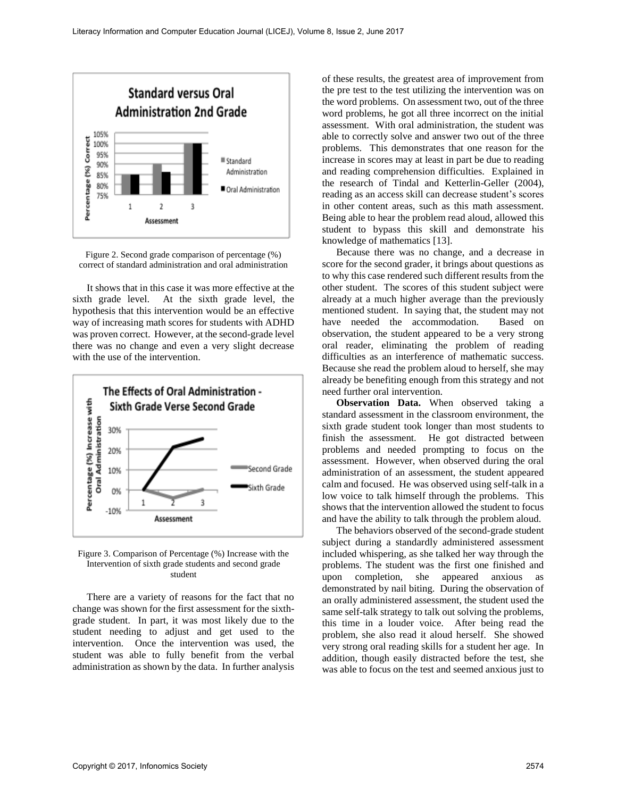

Figure 2. Second grade comparison of percentage (%) correct of standard administration and oral administration

It shows that in this case it was more effective at the sixth grade level. At the sixth grade level, the hypothesis that this intervention would be an effective way of increasing math scores for students with ADHD was proven correct. However, at the second-grade level there was no change and even a very slight decrease with the use of the intervention.





There are a variety of reasons for the fact that no change was shown for the first assessment for the sixthgrade student. In part, it was most likely due to the student needing to adjust and get used to the intervention. Once the intervention was used, the student was able to fully benefit from the verbal administration as shown by the data. In further analysis

of these results, the greatest area of improvement from the pre test to the test utilizing the intervention was on the word problems. On assessment two, out of the three word problems, he got all three incorrect on the initial assessment. With oral administration, the student was able to correctly solve and answer two out of the three problems. This demonstrates that one reason for the increase in scores may at least in part be due to reading and reading comprehension difficulties. Explained in the research of Tindal and Ketterlin-Geller (2004), reading as an access skill can decrease student's scores in other content areas, such as this math assessment. Being able to hear the problem read aloud, allowed this student to bypass this skill and demonstrate his knowledge of mathematics [13].

Because there was no change, and a decrease in score for the second grader, it brings about questions as to why this case rendered such different results from the other student. The scores of this student subject were already at a much higher average than the previously mentioned student. In saying that, the student may not have needed the accommodation. Based on observation, the student appeared to be a very strong oral reader, eliminating the problem of reading difficulties as an interference of mathematic success. Because she read the problem aloud to herself, she may already be benefiting enough from this strategy and not need further oral intervention.

**Observation Data.** When observed taking a standard assessment in the classroom environment, the sixth grade student took longer than most students to finish the assessment. He got distracted between problems and needed prompting to focus on the assessment. However, when observed during the oral administration of an assessment, the student appeared calm and focused. He was observed using self-talk in a low voice to talk himself through the problems. This shows that the intervention allowed the student to focus and have the ability to talk through the problem aloud.

The behaviors observed of the second-grade student subject during a standardly administered assessment included whispering, as she talked her way through the problems. The student was the first one finished and upon completion, she appeared anxious as demonstrated by nail biting. During the observation of an orally administered assessment, the student used the same self-talk strategy to talk out solving the problems, this time in a louder voice. After being read the problem, she also read it aloud herself. She showed very strong oral reading skills for a student her age. In addition, though easily distracted before the test, she was able to focus on the test and seemed anxious just to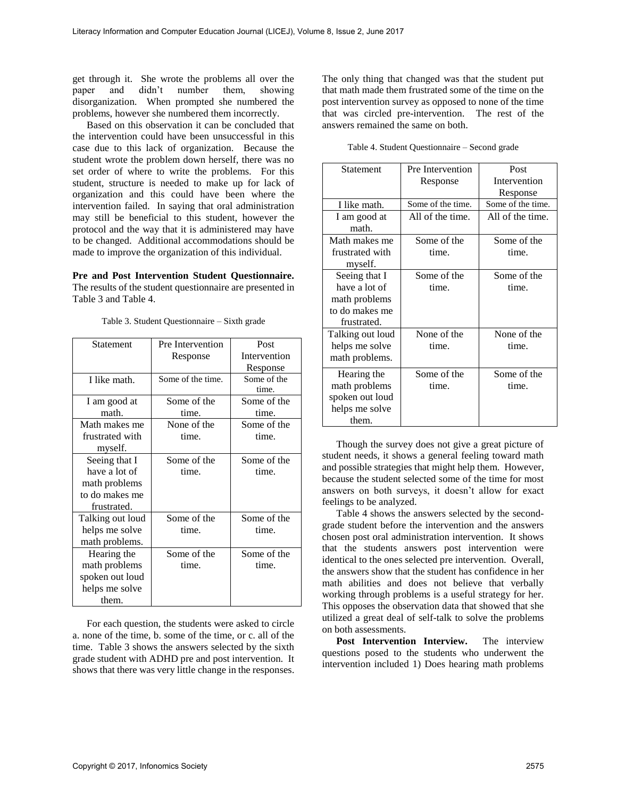get through it. She wrote the problems all over the paper and didn't number them, showing disorganization. When prompted she numbered the problems, however she numbered them incorrectly.

Based on this observation it can be concluded that the intervention could have been unsuccessful in this case due to this lack of organization. Because the student wrote the problem down herself, there was no set order of where to write the problems. For this student, structure is needed to make up for lack of organization and this could have been where the intervention failed. In saying that oral administration may still be beneficial to this student, however the protocol and the way that it is administered may have to be changed. Additional accommodations should be made to improve the organization of this individual.

**Pre and Post Intervention Student Questionnaire.**  The results of the student questionnaire are presented in Table 3 and Table 4.

| Statement        | Pre Intervention  | Post         |  |
|------------------|-------------------|--------------|--|
|                  | Response          | Intervention |  |
|                  |                   | Response     |  |
| I like math.     | Some of the time. | Some of the  |  |
|                  |                   | time.        |  |
| I am good at     | Some of the       | Some of the  |  |
| math.            | time.             | time.        |  |
| Math makes me    | None of the       | Some of the  |  |
| frustrated with  | time.             | time.        |  |
| myself.          |                   |              |  |
| Seeing that I    | Some of the       | Some of the  |  |
| have a lot of    | time.             | time.        |  |
| math problems    |                   |              |  |
| to do makes me   |                   |              |  |
| frustrated.      |                   |              |  |
| Talking out loud | Some of the       | Some of the  |  |
| helps me solve   | time.             | time.        |  |
| math problems.   |                   |              |  |
| Hearing the      | Some of the       | Some of the  |  |
| math problems    | time.             | time.        |  |
| spoken out loud  |                   |              |  |
| helps me solve   |                   |              |  |
| them.            |                   |              |  |

Table 3. Student Questionnaire – Sixth grade

For each question, the students were asked to circle a. none of the time, b. some of the time, or c. all of the time. Table 3 shows the answers selected by the sixth grade student with ADHD pre and post intervention. It shows that there was very little change in the responses.

The only thing that changed was that the student put that math made them frustrated some of the time on the post intervention survey as opposed to none of the time that was circled pre-intervention. The rest of the answers remained the same on both.

Table 4. Student Questionnaire – Second grade

| Statement                                                                        | Pre Intervention<br>Response | Post<br>Intervention |
|----------------------------------------------------------------------------------|------------------------------|----------------------|
|                                                                                  |                              | Response             |
| I like math.                                                                     | Some of the time.            | Some of the time.    |
| I am good at<br>math.                                                            | All of the time.             | All of the time.     |
| Math makes me                                                                    | Some of the                  | Some of the          |
| frustrated with<br>myself.                                                       | time.                        | time.                |
| Seeing that I<br>have a lot of<br>math problems<br>to do makes me<br>frustrated. | Some of the<br>time.         | Some of the<br>time. |
| Talking out loud<br>helps me solve<br>math problems.                             | None of the<br>time.         | None of the<br>time. |
| Hearing the<br>math problems<br>spoken out loud<br>helps me solve<br>them.       | Some of the<br>time.         | Some of the<br>time. |

Though the survey does not give a great picture of student needs, it shows a general feeling toward math and possible strategies that might help them. However, because the student selected some of the time for most answers on both surveys, it doesn't allow for exact feelings to be analyzed.

Table 4 shows the answers selected by the secondgrade student before the intervention and the answers chosen post oral administration intervention. It shows that the students answers post intervention were identical to the ones selected pre intervention. Overall, the answers show that the student has confidence in her math abilities and does not believe that verbally working through problems is a useful strategy for her. This opposes the observation data that showed that she utilized a great deal of self-talk to solve the problems on both assessments.

**Post Intervention Interview.** The interview questions posed to the students who underwent the intervention included 1) Does hearing math problems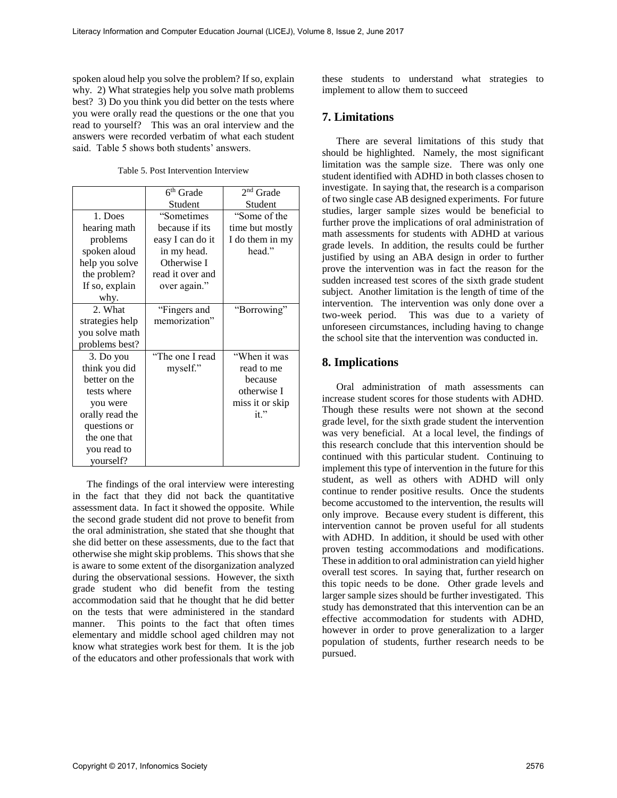spoken aloud help you solve the problem? If so, explain why. 2) What strategies help you solve math problems best? 3) Do you think you did better on the tests where you were orally read the questions or the one that you read to yourself? This was an oral interview and the answers were recorded verbatim of what each student said. Table 5 shows both students' answers.

Table 5. Post Intervention Interview

|                 | 6 <sup>th</sup> Grade | 2 <sup>nd</sup> Grade |
|-----------------|-----------------------|-----------------------|
|                 | Student               | Student               |
| 1. Does         | "Sometimes            | "Some of the          |
| hearing math    | because if its        | time but mostly       |
| problems        | easy I can do it      | I do them in my       |
| spoken aloud    | in my head.           | head."                |
| help you solve  | Otherwise I           |                       |
| the problem?    | read it over and      |                       |
| If so, explain  | over again."          |                       |
| why.            |                       |                       |
| 2. What         | "Fingers and          | "Borrowing"           |
| strategies help | memorization"         |                       |
| you solve math  |                       |                       |
| problems best?  |                       |                       |
| 3. Do you       | "The one I read       | "When it was          |
| think you did   | myself."              | read to me            |
| better on the   |                       | because               |
| tests where     |                       | otherwise I           |
| you were        |                       | miss it or skip       |
| orally read the |                       | it."                  |
| questions or    |                       |                       |
| the one that    |                       |                       |
| you read to     |                       |                       |
| yourself?       |                       |                       |

The findings of the oral interview were interesting in the fact that they did not back the quantitative assessment data. In fact it showed the opposite. While the second grade student did not prove to benefit from the oral administration, she stated that she thought that she did better on these assessments, due to the fact that otherwise she might skip problems. This shows that she is aware to some extent of the disorganization analyzed during the observational sessions. However, the sixth grade student who did benefit from the testing accommodation said that he thought that he did better on the tests that were administered in the standard manner. This points to the fact that often times elementary and middle school aged children may not know what strategies work best for them. It is the job of the educators and other professionals that work with these students to understand what strategies to implement to allow them to succeed

## **7. Limitations**

There are several limitations of this study that should be highlighted. Namely, the most significant limitation was the sample size. There was only one student identified with ADHD in both classes chosen to investigate. In saying that, the research is a comparison of two single case AB designed experiments. For future studies, larger sample sizes would be beneficial to further prove the implications of oral administration of math assessments for students with ADHD at various grade levels. In addition, the results could be further justified by using an ABA design in order to further prove the intervention was in fact the reason for the sudden increased test scores of the sixth grade student subject. Another limitation is the length of time of the intervention. The intervention was only done over a two-week period. This was due to a variety of unforeseen circumstances, including having to change the school site that the intervention was conducted in.

# **8. Implications**

Oral administration of math assessments can increase student scores for those students with ADHD. Though these results were not shown at the second grade level, for the sixth grade student the intervention was very beneficial. At a local level, the findings of this research conclude that this intervention should be continued with this particular student. Continuing to implement this type of intervention in the future for this student, as well as others with ADHD will only continue to render positive results. Once the students become accustomed to the intervention, the results will only improve. Because every student is different, this intervention cannot be proven useful for all students with ADHD. In addition, it should be used with other proven testing accommodations and modifications. These in addition to oral administration can yield higher overall test scores. In saying that, further research on this topic needs to be done. Other grade levels and larger sample sizes should be further investigated. This study has demonstrated that this intervention can be an effective accommodation for students with ADHD, however in order to prove generalization to a larger population of students, further research needs to be pursued.